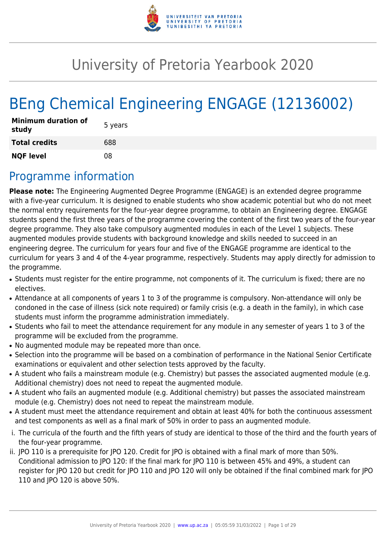

# University of Pretoria Yearbook 2020

# BEng Chemical Engineering ENGAGE (12136002)

| <b>Minimum duration of</b><br>study | 5 years |
|-------------------------------------|---------|
| <b>Total credits</b>                | 688     |
| <b>NQF level</b>                    | 08      |

## Programme information

**Please note:** The Engineering Augmented Degree Programme (ENGAGE) is an extended degree programme with a five-year curriculum. It is designed to enable students who show academic potential but who do not meet the normal entry requirements for the four-year degree programme, to obtain an Engineering degree. ENGAGE students spend the first three years of the programme covering the content of the first two years of the four-year degree programme. They also take compulsory augmented modules in each of the Level 1 subjects. These augmented modules provide students with background knowledge and skills needed to succeed in an engineering degree. The curriculum for years four and five of the ENGAGE programme are identical to the curriculum for years 3 and 4 of the 4-year programme, respectively. Students may apply directly for admission to the programme.

- Students must register for the entire programme, not components of it. The curriculum is fixed; there are no electives.
- Attendance at all components of years 1 to 3 of the programme is compulsory. Non-attendance will only be condoned in the case of illness (sick note required) or family crisis (e.g. a death in the family), in which case students must inform the programme administration immediately.
- Students who fail to meet the attendance requirement for any module in any semester of years 1 to 3 of the programme will be excluded from the programme.
- No augmented module may be repeated more than once.
- Selection into the programme will be based on a combination of performance in the National Senior Certificate examinations or equivalent and other selection tests approved by the faculty.
- A student who fails a mainstream module (e.g. Chemistry) but passes the associated augmented module (e.g. Additional chemistry) does not need to repeat the augmented module.
- A student who fails an augmented module (e.g. Additional chemistry) but passes the associated mainstream module (e.g. Chemistry) does not need to repeat the mainstream module.
- A student must meet the attendance requirement and obtain at least 40% for both the continuous assessment and test components as well as a final mark of 50% in order to pass an augmented module.
- i. The curricula of the fourth and the fifth years of study are identical to those of the third and the fourth years of the four-year programme.
- ii. JPO 110 is a prerequisite for JPO 120. Credit for JPO is obtained with a final mark of more than 50%. Conditional admission to JPO 120: If the final mark for JPO 110 is between 45% and 49%, a student can register for JPO 120 but credit for JPO 110 and JPO 120 will only be obtained if the final combined mark for JPO 110 and JPO 120 is above 50%.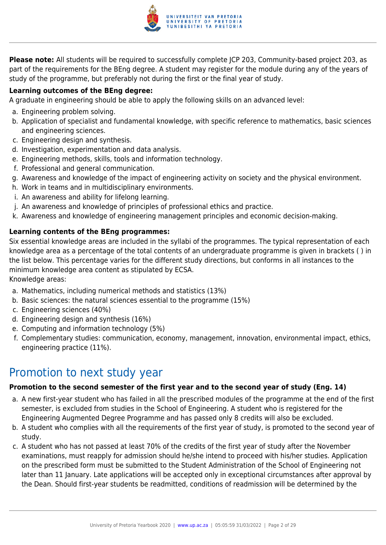

**Please note:** All students will be required to successfully complete JCP 203, Community-based project 203, as part of the requirements for the BEng degree. A student may register for the module during any of the years of study of the programme, but preferably not during the first or the final year of study.

## **Learning outcomes of the BEng degree:**

A graduate in engineering should be able to apply the following skills on an advanced level:

- a. Engineering problem solving.
- b. Application of specialist and fundamental knowledge, with specific reference to mathematics, basic sciences and engineering sciences.
- c. Engineering design and synthesis.
- d. Investigation, experimentation and data analysis.
- e. Engineering methods, skills, tools and information technology.
- f. Professional and general communication.
- g. Awareness and knowledge of the impact of engineering activity on society and the physical environment.
- h. Work in teams and in multidisciplinary environments.
- i. An awareness and ability for lifelong learning.
- j. An awareness and knowledge of principles of professional ethics and practice.
- k. Awareness and knowledge of engineering management principles and economic decision-making.

## **Learning contents of the BEng programmes:**

Six essential knowledge areas are included in the syllabi of the programmes. The typical representation of each knowledge area as a percentage of the total contents of an undergraduate programme is given in brackets ( ) in the list below. This percentage varies for the different study directions, but conforms in all instances to the minimum knowledge area content as stipulated by ECSA.

Knowledge areas:

- a. Mathematics, including numerical methods and statistics (13%)
- b. Basic sciences: the natural sciences essential to the programme (15%)
- c. Engineering sciences (40%)
- d. Engineering design and synthesis (16%)
- e. Computing and information technology (5%)
- f. Complementary studies: communication, economy, management, innovation, environmental impact, ethics, engineering practice (11%).

## Promotion to next study year

## **Promotion to the second semester of the first year and to the second year of study (Eng. 14)**

- a. A new first-year student who has failed in all the prescribed modules of the programme at the end of the first semester, is excluded from studies in the School of Engineering. A student who is registered for the Engineering Augmented Degree Programme and has passed only 8 credits will also be excluded.
- b. A student who complies with all the requirements of the first year of study, is promoted to the second year of study.
- c. A student who has not passed at least 70% of the credits of the first year of study after the November examinations, must reapply for admission should he/she intend to proceed with his/her studies. Application on the prescribed form must be submitted to the Student Administration of the School of Engineering not later than 11 January. Late applications will be accepted only in exceptional circumstances after approval by the Dean. Should first-year students be readmitted, conditions of readmission will be determined by the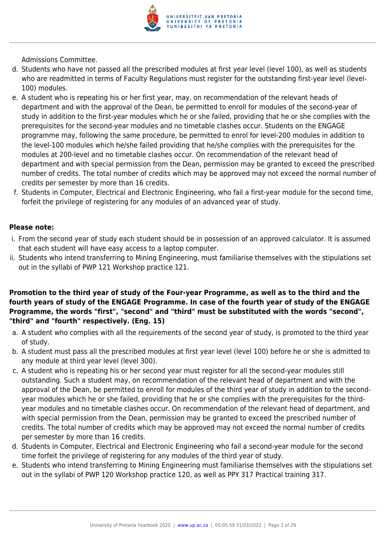

Admissions Committee.

- d. Students who have not passed all the prescribed modules at first year level (level 100), as well as students who are readmitted in terms of Faculty Regulations must register for the outstanding first-year level (level-100) modules.
- e. A student who is repeating his or her first year, may, on recommendation of the relevant heads of department and with the approval of the Dean, be permitted to enroll for modules of the second-year of study in addition to the first-year modules which he or she failed, providing that he or she complies with the prerequisites for the second-year modules and no timetable clashes occur. Students on the ENGAGE programme may, following the same procedure, be permitted to enrol for level-200 modules in addition to the level-100 modules which he/she failed providing that he/she complies with the prerequisites for the modules at 200-level and no timetable clashes occur. On recommendation of the relevant head of department and with special permission from the Dean, permission may be granted to exceed the prescribed number of credits. The total number of credits which may be approved may not exceed the normal number of credits per semester by more than 16 credits.
- f. Students in Computer, Electrical and Electronic Engineering, who fail a first-year module for the second time, forfeit the privilege of registering for any modules of an advanced year of study.

## **Please note:**

- i. From the second year of study each student should be in possession of an approved calculator. It is assumed that each student will have easy access to a laptop computer.
- ii. Students who intend transferring to Mining Engineering, must familiarise themselves with the stipulations set out in the syllabi of PWP 121 Workshop practice 121.

## **Promotion to the third year of study of the Four-year Programme, as well as to the third and the fourth years of study of the ENGAGE Programme. In case of the fourth year of study of the ENGAGE Programme, the words "first", "second" and "third" must be substituted with the words "second", "third" and "fourth" respectively. (Eng. 15)**

- a. A student who complies with all the requirements of the second year of study, is promoted to the third year of study.
- b. A student must pass all the prescribed modules at first year level (level 100) before he or she is admitted to any module at third year level (level 300).
- c. A student who is repeating his or her second year must register for all the second-year modules still outstanding. Such a student may, on recommendation of the relevant head of department and with the approval of the Dean, be permitted to enroll for modules of the third year of study in addition to the secondyear modules which he or she failed, providing that he or she complies with the prerequisites for the thirdyear modules and no timetable clashes occur. On recommendation of the relevant head of department, and with special permission from the Dean, permission may be granted to exceed the prescribed number of credits. The total number of credits which may be approved may not exceed the normal number of credits per semester by more than 16 credits.
- d. Students in Computer, Electrical and Electronic Engineering who fail a second-year module for the second time forfeit the privilege of registering for any modules of the third year of study.
- e. Students who intend transferring to Mining Engineering must familiarise themselves with the stipulations set out in the syllabi of PWP 120 Workshop practice 120, as well as PPY 317 Practical training 317.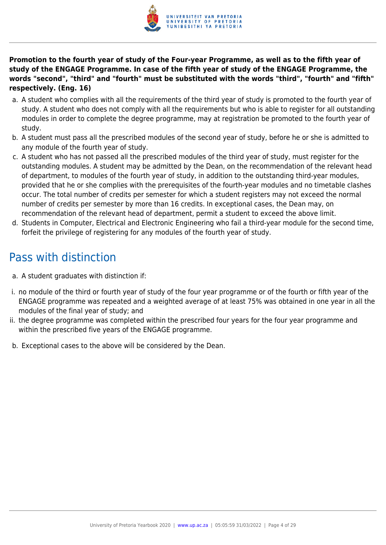

**Promotion to the fourth year of study of the Four-year Programme, as well as to the fifth year of study of the ENGAGE Programme. In case of the fifth year of study of the ENGAGE Programme, the words "second", "third" and "fourth" must be substituted with the words "third", "fourth" and "fifth" respectively. (Eng. 16)**

- a. A student who complies with all the requirements of the third year of study is promoted to the fourth year of study. A student who does not comply with all the requirements but who is able to register for all outstanding modules in order to complete the degree programme, may at registration be promoted to the fourth year of study.
- b. A student must pass all the prescribed modules of the second year of study, before he or she is admitted to any module of the fourth year of study.
- c. A student who has not passed all the prescribed modules of the third year of study, must register for the outstanding modules. A student may be admitted by the Dean, on the recommendation of the relevant head of department, to modules of the fourth year of study, in addition to the outstanding third-year modules, provided that he or she complies with the prerequisites of the fourth-year modules and no timetable clashes occur. The total number of credits per semester for which a student registers may not exceed the normal number of credits per semester by more than 16 credits. In exceptional cases, the Dean may, on recommendation of the relevant head of department, permit a student to exceed the above limit.
- d. Students in Computer, Electrical and Electronic Engineering who fail a third-year module for the second time, forfeit the privilege of registering for any modules of the fourth year of study.

## Pass with distinction

- a. A student graduates with distinction if:
- i. no module of the third or fourth year of study of the four year programme or of the fourth or fifth year of the ENGAGE programme was repeated and a weighted average of at least 75% was obtained in one year in all the modules of the final year of study; and
- ii. the degree programme was completed within the prescribed four years for the four year programme and within the prescribed five years of the ENGAGE programme.
- b. Exceptional cases to the above will be considered by the Dean.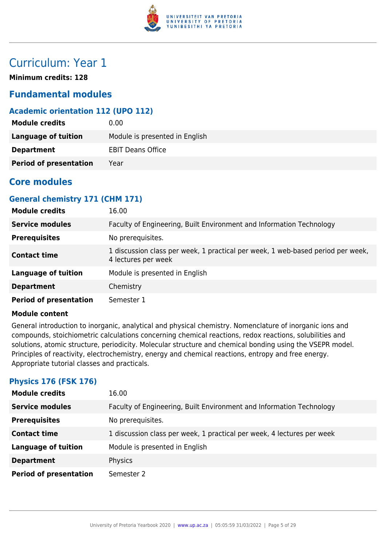

## Curriculum: Year 1

**Minimum credits: 128**

## **Fundamental modules**

## **Academic orientation 112 (UPO 112)**

| <b>Module credits</b>         | 0.00                           |
|-------------------------------|--------------------------------|
| Language of tuition           | Module is presented in English |
| <b>Department</b>             | <b>EBIT Deans Office</b>       |
| <b>Period of presentation</b> | Year                           |

## **Core modules**

## **General chemistry 171 (CHM 171)**

| <b>Module credits</b>         | 16.00                                                                                                  |
|-------------------------------|--------------------------------------------------------------------------------------------------------|
| <b>Service modules</b>        | Faculty of Engineering, Built Environment and Information Technology                                   |
| <b>Prerequisites</b>          | No prerequisites.                                                                                      |
| <b>Contact time</b>           | 1 discussion class per week, 1 practical per week, 1 web-based period per week,<br>4 lectures per week |
| <b>Language of tuition</b>    | Module is presented in English                                                                         |
| <b>Department</b>             | Chemistry                                                                                              |
| <b>Period of presentation</b> | Semester 1                                                                                             |

## **Module content**

General introduction to inorganic, analytical and physical chemistry. Nomenclature of inorganic ions and compounds, stoichiometric calculations concerning chemical reactions, redox reactions, solubilities and solutions, atomic structure, periodicity. Molecular structure and chemical bonding using the VSEPR model. Principles of reactivity, electrochemistry, energy and chemical reactions, entropy and free energy. Appropriate tutorial classes and practicals.

## **Physics 176 (FSK 176)**

| <b>Module credits</b>         | 16.00                                                                  |
|-------------------------------|------------------------------------------------------------------------|
| <b>Service modules</b>        | Faculty of Engineering, Built Environment and Information Technology   |
| <b>Prerequisites</b>          | No prerequisites.                                                      |
| <b>Contact time</b>           | 1 discussion class per week, 1 practical per week, 4 lectures per week |
| <b>Language of tuition</b>    | Module is presented in English                                         |
| <b>Department</b>             | Physics                                                                |
| <b>Period of presentation</b> | Semester 2                                                             |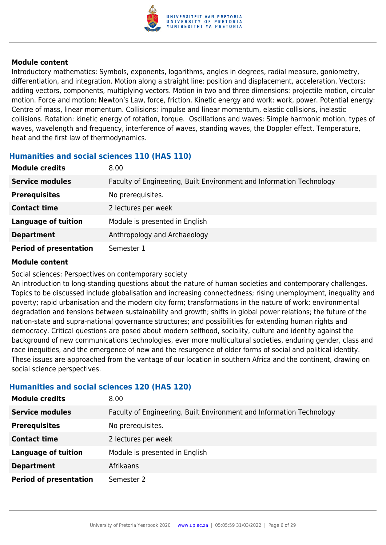

Introductory mathematics: Symbols, exponents, logarithms, angles in degrees, radial measure, goniometry, differentiation, and integration. Motion along a straight line: position and displacement, acceleration. Vectors: adding vectors, components, multiplying vectors. Motion in two and three dimensions: projectile motion, circular motion. Force and motion: Newton's Law, force, friction. Kinetic energy and work: work, power. Potential energy: Centre of mass, linear momentum. Collisions: impulse and linear momentum, elastic collisions, inelastic collisions. Rotation: kinetic energy of rotation, torque. Oscillations and waves: Simple harmonic motion, types of waves, wavelength and frequency, interference of waves, standing waves, the Doppler effect. Temperature, heat and the first law of thermodynamics.

## **Humanities and social sciences 110 (HAS 110)**

| <b>Module credits</b>         | 8.00                                                                 |
|-------------------------------|----------------------------------------------------------------------|
| <b>Service modules</b>        | Faculty of Engineering, Built Environment and Information Technology |
| <b>Prerequisites</b>          | No prerequisites.                                                    |
| <b>Contact time</b>           | 2 lectures per week                                                  |
| <b>Language of tuition</b>    | Module is presented in English                                       |
| <b>Department</b>             | Anthropology and Archaeology                                         |
| <b>Period of presentation</b> | Semester 1                                                           |

#### **Module content**

Social sciences: Perspectives on contemporary society

An introduction to long-standing questions about the nature of human societies and contemporary challenges. Topics to be discussed include globalisation and increasing connectedness; rising unemployment, inequality and poverty; rapid urbanisation and the modern city form; transformations in the nature of work; environmental degradation and tensions between sustainability and growth; shifts in global power relations; the future of the nation-state and supra-national governance structures; and possibilities for extending human rights and democracy. Critical questions are posed about modern selfhood, sociality, culture and identity against the background of new communications technologies, ever more multicultural societies, enduring gender, class and race inequities, and the emergence of new and the resurgence of older forms of social and political identity. These issues are approached from the vantage of our location in southern Africa and the continent, drawing on social science perspectives.

## **Humanities and social sciences 120 (HAS 120)**

| <b>Module credits</b>         | 8.00                                                                 |
|-------------------------------|----------------------------------------------------------------------|
| <b>Service modules</b>        | Faculty of Engineering, Built Environment and Information Technology |
| <b>Prerequisites</b>          | No prerequisites.                                                    |
| <b>Contact time</b>           | 2 lectures per week                                                  |
| <b>Language of tuition</b>    | Module is presented in English                                       |
| <b>Department</b>             | Afrikaans                                                            |
| <b>Period of presentation</b> | Semester 2                                                           |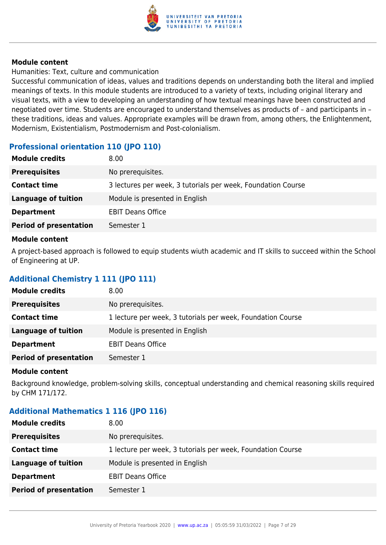

Humanities: Text, culture and communication

Successful communication of ideas, values and traditions depends on understanding both the literal and implied meanings of texts. In this module students are introduced to a variety of texts, including original literary and visual texts, with a view to developing an understanding of how textual meanings have been constructed and negotiated over time. Students are encouraged to understand themselves as products of – and participants in – these traditions, ideas and values. Appropriate examples will be drawn from, among others, the Enlightenment, Modernism, Existentialism, Postmodernism and Post-colonialism.

## **Professional orientation 110 (JPO 110)**

| <b>Module credits</b>         | 8.00                                                         |
|-------------------------------|--------------------------------------------------------------|
| <b>Prerequisites</b>          | No prerequisites.                                            |
| <b>Contact time</b>           | 3 lectures per week, 3 tutorials per week, Foundation Course |
| <b>Language of tuition</b>    | Module is presented in English                               |
| <b>Department</b>             | <b>EBIT Deans Office</b>                                     |
| <b>Period of presentation</b> | Semester 1                                                   |
|                               |                                                              |

#### **Module content**

A project-based approach is followed to equip students wiuth academic and IT skills to succeed within the School of Engineering at UP.

## **Additional Chemistry 1 111 (JPO 111)**

| <b>Module credits</b>         | 8.00                                                        |
|-------------------------------|-------------------------------------------------------------|
| <b>Prerequisites</b>          | No prerequisites.                                           |
| <b>Contact time</b>           | 1 lecture per week, 3 tutorials per week, Foundation Course |
| Language of tuition           | Module is presented in English                              |
| <b>Department</b>             | <b>EBIT Deans Office</b>                                    |
| <b>Period of presentation</b> | Semester 1                                                  |

#### **Module content**

Background knowledge, problem-solving skills, conceptual understanding and chemical reasoning skills required by CHM 171/172.

## **Additional Mathematics 1 116 (JPO 116)**

| <b>Prerequisites</b><br>No prerequisites.                                          |  |
|------------------------------------------------------------------------------------|--|
| <b>Contact time</b><br>1 lecture per week, 3 tutorials per week, Foundation Course |  |
| Module is presented in English<br>Language of tuition                              |  |
| <b>Department</b><br><b>EBIT Deans Office</b>                                      |  |
| <b>Period of presentation</b><br>Semester 1                                        |  |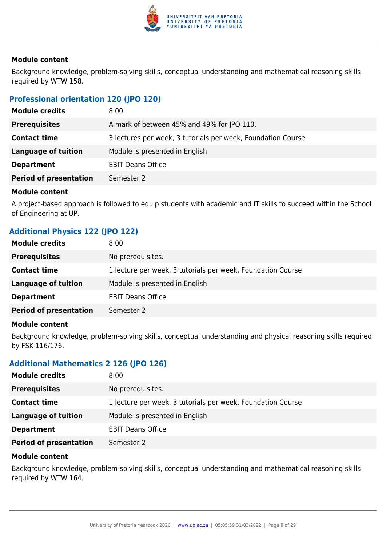

Background knowledge, problem-solving skills, conceptual understanding and mathematical reasoning skills required by WTW 158.

## **Professional orientation 120 (JPO 120)**

| <b>Module credits</b>         | 8.00                                                         |
|-------------------------------|--------------------------------------------------------------|
| <b>Prerequisites</b>          | A mark of between 45% and 49% for JPO 110.                   |
| <b>Contact time</b>           | 3 lectures per week, 3 tutorials per week, Foundation Course |
| <b>Language of tuition</b>    | Module is presented in English                               |
| <b>Department</b>             | <b>EBIT Deans Office</b>                                     |
| <b>Period of presentation</b> | Semester 2                                                   |

#### **Module content**

A project-based approach is followed to equip students with academic and IT skills to succeed within the School of Engineering at UP.

## **Additional Physics 122 (JPO 122)**

| <b>Module credits</b>         | 8.00                                                        |
|-------------------------------|-------------------------------------------------------------|
| <b>Prerequisites</b>          | No prerequisites.                                           |
| <b>Contact time</b>           | 1 lecture per week, 3 tutorials per week, Foundation Course |
| <b>Language of tuition</b>    | Module is presented in English                              |
| <b>Department</b>             | <b>EBIT Deans Office</b>                                    |
| <b>Period of presentation</b> | Semester 2                                                  |
|                               |                                                             |

## **Module content**

Background knowledge, problem-solving skills, conceptual understanding and physical reasoning skills required by FSK 116/176.

## **Additional Mathematics 2 126 (JPO 126)**

| <b>Module credits</b>         | 8.00                                                        |
|-------------------------------|-------------------------------------------------------------|
| <b>Prerequisites</b>          | No prerequisites.                                           |
| <b>Contact time</b>           | 1 lecture per week, 3 tutorials per week, Foundation Course |
| <b>Language of tuition</b>    | Module is presented in English                              |
| <b>Department</b>             | <b>EBIT Deans Office</b>                                    |
| <b>Period of presentation</b> | Semester 2                                                  |

#### **Module content**

Background knowledge, problem-solving skills, conceptual understanding and mathematical reasoning skills required by WTW 164.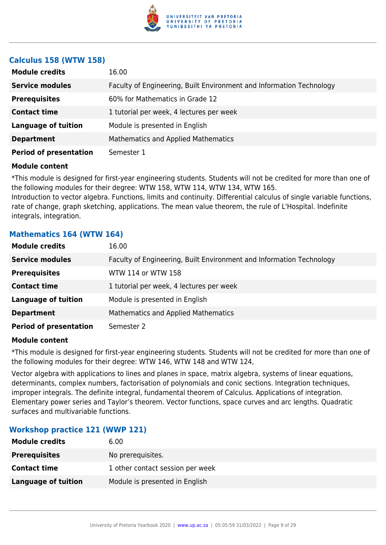

## **Calculus 158 (WTW 158)**

| <b>Module credits</b>         | 16.00                                                                |
|-------------------------------|----------------------------------------------------------------------|
| <b>Service modules</b>        | Faculty of Engineering, Built Environment and Information Technology |
| <b>Prerequisites</b>          | 60% for Mathematics in Grade 12                                      |
| <b>Contact time</b>           | 1 tutorial per week, 4 lectures per week                             |
| <b>Language of tuition</b>    | Module is presented in English                                       |
| <b>Department</b>             | <b>Mathematics and Applied Mathematics</b>                           |
| <b>Period of presentation</b> | Semester 1                                                           |

#### **Module content**

\*This module is designed for first-year engineering students. Students will not be credited for more than one of the following modules for their degree: WTW 158, WTW 114, WTW 134, WTW 165.

Introduction to vector algebra. Functions, limits and continuity. Differential calculus of single variable functions, rate of change, graph sketching, applications. The mean value theorem, the rule of L'Hospital. Indefinite integrals, integration.

## **Mathematics 164 (WTW 164)**

| <b>Module credits</b>         | 16.00                                                                |
|-------------------------------|----------------------------------------------------------------------|
| <b>Service modules</b>        | Faculty of Engineering, Built Environment and Information Technology |
| <b>Prerequisites</b>          | WTW 114 or WTW 158                                                   |
| <b>Contact time</b>           | 1 tutorial per week, 4 lectures per week                             |
| <b>Language of tuition</b>    | Module is presented in English                                       |
| <b>Department</b>             | Mathematics and Applied Mathematics                                  |
| <b>Period of presentation</b> | Semester 2                                                           |

## **Module content**

\*This module is designed for first-year engineering students. Students will not be credited for more than one of the following modules for their degree: WTW 146, WTW 148 and WTW 124,

Vector algebra with applications to lines and planes in space, matrix algebra, systems of linear equations, determinants, complex numbers, factorisation of polynomials and conic sections. Integration techniques, improper integrals. The definite integral, fundamental theorem of Calculus. Applications of integration. Elementary power series and Taylor's theorem. Vector functions, space curves and arc lengths. Quadratic surfaces and multivariable functions.

## **Workshop practice 121 (WWP 121)**

| <b>Module credits</b>      | 6.00                             |
|----------------------------|----------------------------------|
| <b>Prerequisites</b>       | No prerequisites.                |
| <b>Contact time</b>        | 1 other contact session per week |
| <b>Language of tuition</b> | Module is presented in English   |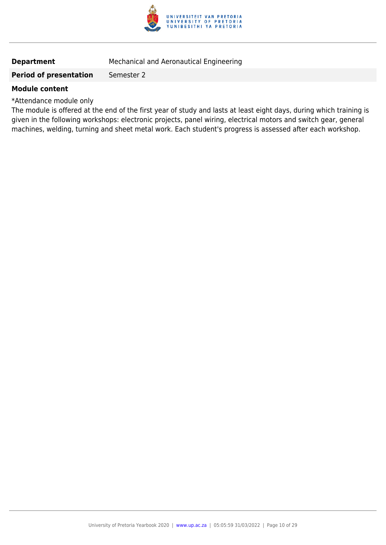

## **Department** Mechanical and Aeronautical Engineering

#### **Period of presentation** Semester 2

#### **Module content**

\*Attendance module only

The module is offered at the end of the first year of study and lasts at least eight days, during which training is given in the following workshops: electronic projects, panel wiring, electrical motors and switch gear, general machines, welding, turning and sheet metal work. Each student's progress is assessed after each workshop.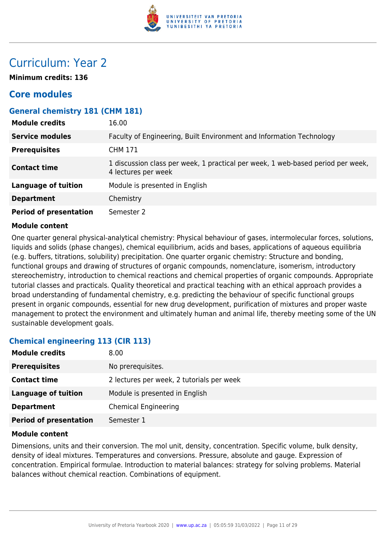

## Curriculum: Year 2

**Minimum credits: 136**

## **Core modules**

## **General chemistry 181 (CHM 181)**

| <b>Module credits</b>         | 16.00                                                                                                  |
|-------------------------------|--------------------------------------------------------------------------------------------------------|
| <b>Service modules</b>        | Faculty of Engineering, Built Environment and Information Technology                                   |
| <b>Prerequisites</b>          | <b>CHM 171</b>                                                                                         |
| <b>Contact time</b>           | 1 discussion class per week, 1 practical per week, 1 web-based period per week,<br>4 lectures per week |
| <b>Language of tuition</b>    | Module is presented in English                                                                         |
| <b>Department</b>             | Chemistry                                                                                              |
| <b>Period of presentation</b> | Semester 2                                                                                             |

## **Module content**

One quarter general physical-analytical chemistry: Physical behaviour of gases, intermolecular forces, solutions, liquids and solids (phase changes), chemical equilibrium, acids and bases, applications of aqueous equilibria (e.g. buffers, titrations, solubility) precipitation. One quarter organic chemistry: Structure and bonding, functional groups and drawing of structures of organic compounds, nomenclature, isomerism, introductory stereochemistry, introduction to chemical reactions and chemical properties of organic compounds. Appropriate tutorial classes and practicals. Quality theoretical and practical teaching with an ethical approach provides a broad understanding of fundamental chemistry, e.g. predicting the behaviour of specific functional groups present in organic compounds, essential for new drug development, purification of mixtures and proper waste management to protect the environment and ultimately human and animal life, thereby meeting some of the UN sustainable development goals.

## **Chemical engineering 113 (CIR 113)**

| <b>Module credits</b>         | 8.00                                      |
|-------------------------------|-------------------------------------------|
| <b>Prerequisites</b>          | No prerequisites.                         |
| <b>Contact time</b>           | 2 lectures per week, 2 tutorials per week |
| <b>Language of tuition</b>    | Module is presented in English            |
| <b>Department</b>             | <b>Chemical Engineering</b>               |
| <b>Period of presentation</b> | Semester 1                                |

#### **Module content**

Dimensions, units and their conversion. The mol unit, density, concentration. Specific volume, bulk density, density of ideal mixtures. Temperatures and conversions. Pressure, absolute and gauge. Expression of concentration. Empirical formulae. Introduction to material balances: strategy for solving problems. Material balances without chemical reaction. Combinations of equipment.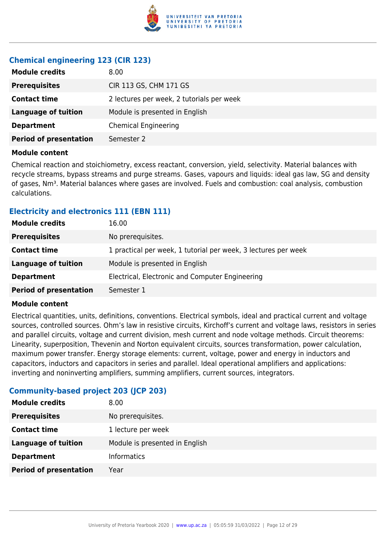

## **Chemical engineering 123 (CIR 123)**

| <b>Module credits</b>         | 8.00                                      |
|-------------------------------|-------------------------------------------|
| <b>Prerequisites</b>          | CIR 113 GS, CHM 171 GS                    |
| <b>Contact time</b>           | 2 lectures per week, 2 tutorials per week |
| <b>Language of tuition</b>    | Module is presented in English            |
| <b>Department</b>             | <b>Chemical Engineering</b>               |
| <b>Period of presentation</b> | Semester 2                                |

#### **Module content**

Chemical reaction and stoichiometry, excess reactant, conversion, yield, selectivity. Material balances with recycle streams, bypass streams and purge streams. Gases, vapours and liquids: ideal gas law, SG and density of gases, Nm<sup>3</sup>. Material balances where gases are involved. Fuels and combustion: coal analysis, combustion calculations.

## **Electricity and electronics 111 (EBN 111)**

| <b>Module credits</b>         | 16.00                                                          |
|-------------------------------|----------------------------------------------------------------|
| <b>Prerequisites</b>          | No prerequisites.                                              |
| <b>Contact time</b>           | 1 practical per week, 1 tutorial per week, 3 lectures per week |
| <b>Language of tuition</b>    | Module is presented in English                                 |
| <b>Department</b>             | Electrical, Electronic and Computer Engineering                |
| <b>Period of presentation</b> | Semester 1                                                     |

## **Module content**

Electrical quantities, units, definitions, conventions. Electrical symbols, ideal and practical current and voltage sources, controlled sources. Ohm's law in resistive circuits, Kirchoff's current and voltage laws, resistors in series and parallel circuits, voltage and current division, mesh current and node voltage methods. Circuit theorems: Linearity, superposition, Thevenin and Norton equivalent circuits, sources transformation, power calculation, maximum power transfer. Energy storage elements: current, voltage, power and energy in inductors and capacitors, inductors and capacitors in series and parallel. Ideal operational amplifiers and applications: inverting and noninverting amplifiers, summing amplifiers, current sources, integrators.

## **Community-based project 203 (JCP 203)**

| <b>Module credits</b>         | 8.00                           |
|-------------------------------|--------------------------------|
| <b>Prerequisites</b>          | No prerequisites.              |
| <b>Contact time</b>           | 1 lecture per week             |
| <b>Language of tuition</b>    | Module is presented in English |
| <b>Department</b>             | <b>Informatics</b>             |
| <b>Period of presentation</b> | Year                           |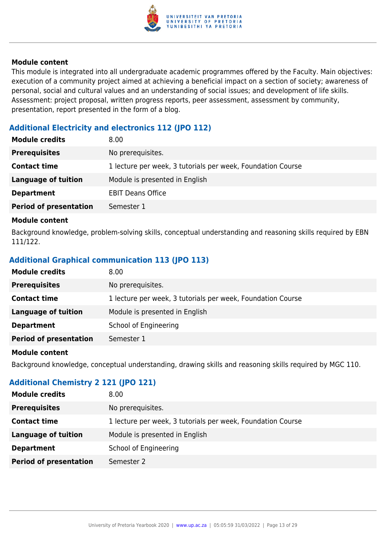

This module is integrated into all undergraduate academic programmes offered by the Faculty. Main objectives: execution of a community project aimed at achieving a beneficial impact on a section of society; awareness of personal, social and cultural values and an understanding of social issues; and development of life skills. Assessment: project proposal, written progress reports, peer assessment, assessment by community, presentation, report presented in the form of a blog.

## **Additional Electricity and electronics 112 (JPO 112)**

| <b>Module credits</b>         | 8.00                                                        |
|-------------------------------|-------------------------------------------------------------|
| <b>Prerequisites</b>          | No prerequisites.                                           |
| <b>Contact time</b>           | 1 lecture per week, 3 tutorials per week, Foundation Course |
| <b>Language of tuition</b>    | Module is presented in English                              |
| <b>Department</b>             | <b>EBIT Deans Office</b>                                    |
| <b>Period of presentation</b> | Semester 1                                                  |

#### **Module content**

Background knowledge, problem-solving skills, conceptual understanding and reasoning skills required by EBN 111/122.

## **Additional Graphical communication 113 (JPO 113)**

| <b>Module credits</b><br>8.00                                                      |  |
|------------------------------------------------------------------------------------|--|
| No prerequisites.<br><b>Prerequisites</b>                                          |  |
| 1 lecture per week, 3 tutorials per week, Foundation Course<br><b>Contact time</b> |  |
| Module is presented in English<br>Language of tuition                              |  |
| School of Engineering<br><b>Department</b>                                         |  |
| <b>Period of presentation</b><br>Semester 1                                        |  |

#### **Module content**

Background knowledge, conceptual understanding, drawing skills and reasoning skills required by MGC 110.

## **Additional Chemistry 2 121 (JPO 121)**

| <b>Module credits</b>         | 8.00                                                        |
|-------------------------------|-------------------------------------------------------------|
| <b>Prerequisites</b>          | No prerequisites.                                           |
| <b>Contact time</b>           | 1 lecture per week, 3 tutorials per week, Foundation Course |
| Language of tuition           | Module is presented in English                              |
| <b>Department</b>             | School of Engineering                                       |
| <b>Period of presentation</b> | Semester 2                                                  |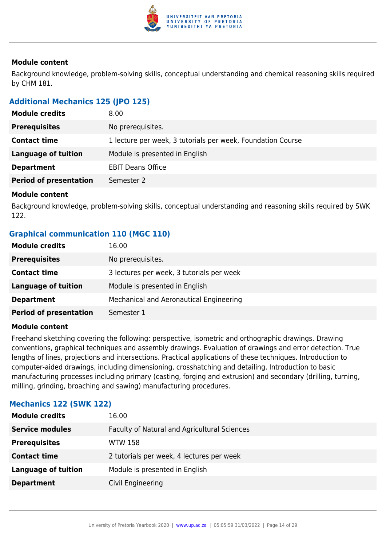

Background knowledge, problem-solving skills, conceptual understanding and chemical reasoning skills required by CHM 181.

## **Additional Mechanics 125 (JPO 125)**

| <b>Module credits</b>         | 8.00                                                        |
|-------------------------------|-------------------------------------------------------------|
| <b>Prerequisites</b>          | No prerequisites.                                           |
| <b>Contact time</b>           | 1 lecture per week, 3 tutorials per week, Foundation Course |
| <b>Language of tuition</b>    | Module is presented in English                              |
| <b>Department</b>             | <b>EBIT Deans Office</b>                                    |
| <b>Period of presentation</b> | Semester 2                                                  |

#### **Module content**

Background knowledge, problem-solving skills, conceptual understanding and reasoning skills required by SWK 122.

## **Graphical communication 110 (MGC 110)**

| <b>Module credits</b>         | 16.00                                     |
|-------------------------------|-------------------------------------------|
| <b>Prerequisites</b>          | No prerequisites.                         |
| <b>Contact time</b>           | 3 lectures per week, 3 tutorials per week |
| <b>Language of tuition</b>    | Module is presented in English            |
| <b>Department</b>             | Mechanical and Aeronautical Engineering   |
| <b>Period of presentation</b> | Semester 1                                |
|                               |                                           |

## **Module content**

Freehand sketching covering the following: perspective, isometric and orthographic drawings. Drawing conventions, graphical techniques and assembly drawings. Evaluation of drawings and error detection. True lengths of lines, projections and intersections. Practical applications of these techniques. Introduction to computer-aided drawings, including dimensioning, crosshatching and detailing. Introduction to basic manufacturing processes including primary (casting, forging and extrusion) and secondary (drilling, turning, milling, grinding, broaching and sawing) manufacturing procedures.

## **Mechanics 122 (SWK 122)**

| <b>Module credits</b>  | 16.00                                        |
|------------------------|----------------------------------------------|
| <b>Service modules</b> | Faculty of Natural and Agricultural Sciences |
| <b>Prerequisites</b>   | <b>WTW 158</b>                               |
| <b>Contact time</b>    | 2 tutorials per week, 4 lectures per week    |
| Language of tuition    | Module is presented in English               |
| <b>Department</b>      | Civil Engineering                            |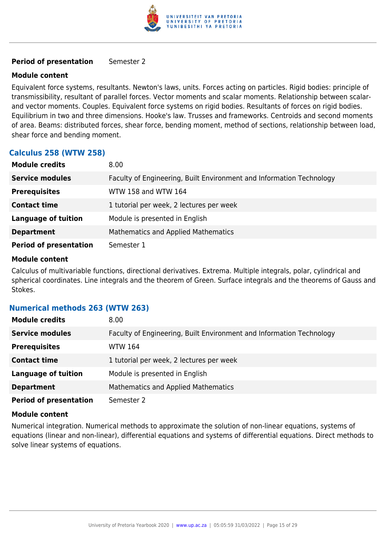

#### **Period of presentation** Semester 2

#### **Module content**

Equivalent force systems, resultants. Newton's laws, units. Forces acting on particles. Rigid bodies: principle of transmissibility, resultant of parallel forces. Vector moments and scalar moments. Relationship between scalarand vector moments. Couples. Equivalent force systems on rigid bodies. Resultants of forces on rigid bodies. Equilibrium in two and three dimensions. Hooke's law. Trusses and frameworks. Centroids and second moments of area. Beams: distributed forces, shear force, bending moment, method of sections, relationship between load, shear force and bending moment.

## **Calculus 258 (WTW 258)**

| <b>Module credits</b>         | 8.00                                                                 |
|-------------------------------|----------------------------------------------------------------------|
| <b>Service modules</b>        | Faculty of Engineering, Built Environment and Information Technology |
| <b>Prerequisites</b>          | WTW 158 and WTW 164                                                  |
| <b>Contact time</b>           | 1 tutorial per week, 2 lectures per week                             |
| <b>Language of tuition</b>    | Module is presented in English                                       |
| <b>Department</b>             | <b>Mathematics and Applied Mathematics</b>                           |
| <b>Period of presentation</b> | Semester 1                                                           |

#### **Module content**

Calculus of multivariable functions, directional derivatives. Extrema. Multiple integrals, polar, cylindrical and spherical coordinates. Line integrals and the theorem of Green. Surface integrals and the theorems of Gauss and Stokes.

## **Numerical methods 263 (WTW 263)**

| <b>Module credits</b>         | 8.00 <sub>1</sub>                                                    |
|-------------------------------|----------------------------------------------------------------------|
| <b>Service modules</b>        | Faculty of Engineering, Built Environment and Information Technology |
| <b>Prerequisites</b>          | <b>WTW 164</b>                                                       |
| <b>Contact time</b>           | 1 tutorial per week, 2 lectures per week                             |
| <b>Language of tuition</b>    | Module is presented in English                                       |
| <b>Department</b>             | Mathematics and Applied Mathematics                                  |
| <b>Period of presentation</b> | Semester 2                                                           |

#### **Module content**

Numerical integration. Numerical methods to approximate the solution of non-linear equations, systems of equations (linear and non-linear), differential equations and systems of differential equations. Direct methods to solve linear systems of equations.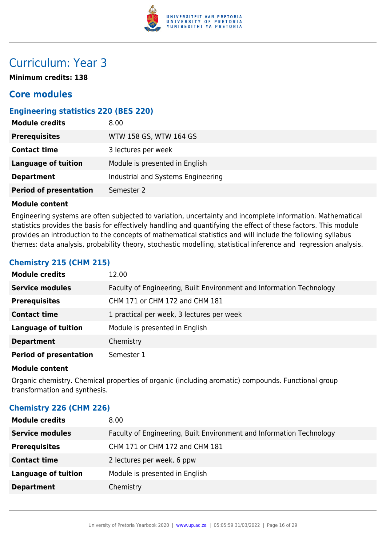

## Curriculum: Year 3

**Minimum credits: 138**

## **Core modules**

## **Engineering statistics 220 (BES 220)**

| <b>Module credits</b>         | 8.00                               |
|-------------------------------|------------------------------------|
| <b>Prerequisites</b>          | WTW 158 GS, WTW 164 GS             |
| <b>Contact time</b>           | 3 lectures per week                |
| <b>Language of tuition</b>    | Module is presented in English     |
| <b>Department</b>             | Industrial and Systems Engineering |
| <b>Period of presentation</b> | Semester 2                         |

## **Module content**

Engineering systems are often subjected to variation, uncertainty and incomplete information. Mathematical statistics provides the basis for effectively handling and quantifying the effect of these factors. This module provides an introduction to the concepts of mathematical statistics and will include the following syllabus themes: data analysis, probability theory, stochastic modelling, statistical inference and regression analysis.

## **Chemistry 215 (CHM 215)**

| <b>Module credits</b>         | 12.00                                                                |
|-------------------------------|----------------------------------------------------------------------|
| <b>Service modules</b>        | Faculty of Engineering, Built Environment and Information Technology |
| <b>Prerequisites</b>          | CHM 171 or CHM 172 and CHM 181                                       |
| <b>Contact time</b>           | 1 practical per week, 3 lectures per week                            |
| <b>Language of tuition</b>    | Module is presented in English                                       |
| <b>Department</b>             | Chemistry                                                            |
| <b>Period of presentation</b> | Semester 1                                                           |

#### **Module content**

Organic chemistry. Chemical properties of organic (including aromatic) compounds. Functional group transformation and synthesis.

## **Chemistry 226 (CHM 226)**

| 8.00                                                                 |
|----------------------------------------------------------------------|
| Faculty of Engineering, Built Environment and Information Technology |
| CHM 171 or CHM 172 and CHM 181                                       |
| 2 lectures per week, 6 ppw                                           |
| Module is presented in English                                       |
| Chemistry                                                            |
|                                                                      |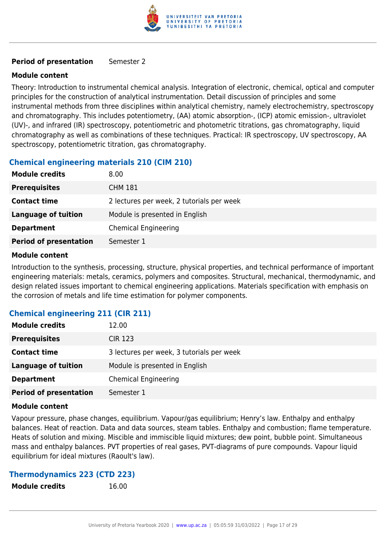

## **Period of presentation** Semester 2

## **Module content**

Theory: Introduction to instrumental chemical analysis. Integration of electronic, chemical, optical and computer principles for the construction of analytical instrumentation. Detail discussion of principles and some instrumental methods from three disciplines within analytical chemistry, namely electrochemistry, spectroscopy and chromatography. This includes potentiometry, (AA) atomic absorption-, (ICP) atomic emission-, ultraviolet (UV)-, and infrared (IR) spectroscopy, potentiometric and photometric titrations, gas chromatography, liquid chromatography as well as combinations of these techniques. Practical: IR spectroscopy, UV spectroscopy, AA spectroscopy, potentiometric titration, gas chromatography.

## **Chemical engineering materials 210 (CIM 210)**

| <b>Module credits</b>         | 8.00                                      |
|-------------------------------|-------------------------------------------|
| <b>Prerequisites</b>          | <b>CHM 181</b>                            |
| <b>Contact time</b>           | 2 lectures per week, 2 tutorials per week |
| <b>Language of tuition</b>    | Module is presented in English            |
| <b>Department</b>             | <b>Chemical Engineering</b>               |
| <b>Period of presentation</b> | Semester 1                                |

## **Module content**

Introduction to the synthesis, processing, structure, physical properties, and technical performance of important engineering materials: metals, ceramics, polymers and composites. Structural, mechanical, thermodynamic, and design related issues important to chemical engineering applications. Materials specification with emphasis on the corrosion of metals and life time estimation for polymer components.

## **Chemical engineering 211 (CIR 211)**

| <b>Module credits</b>         | 12.00                                     |
|-------------------------------|-------------------------------------------|
| <b>Prerequisites</b>          | <b>CIR 123</b>                            |
| <b>Contact time</b>           | 3 lectures per week, 3 tutorials per week |
| <b>Language of tuition</b>    | Module is presented in English            |
| <b>Department</b>             | <b>Chemical Engineering</b>               |
| <b>Period of presentation</b> | Semester 1                                |

## **Module content**

Vapour pressure, phase changes, equilibrium. Vapour/gas equilibrium; Henry's law. Enthalpy and enthalpy balances. Heat of reaction. Data and data sources, steam tables. Enthalpy and combustion; flame temperature. Heats of solution and mixing. Miscible and immiscible liquid mixtures; dew point, bubble point. Simultaneous mass and enthalpy balances. PVT properties of real gases, PVT-diagrams of pure compounds. Vapour liquid equilibrium for ideal mixtures (Raoult's law).

## **Thermodynamics 223 (CTD 223)**

| <b>Module credits</b> | 16.00 |
|-----------------------|-------|
|                       |       |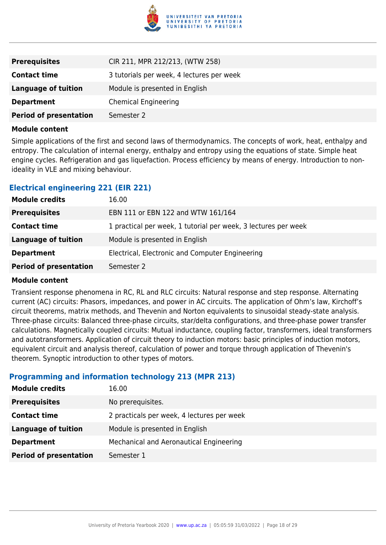

| <b>Prerequisites</b>          | CIR 211, MPR 212/213, (WTW 258)           |
|-------------------------------|-------------------------------------------|
| <b>Contact time</b>           | 3 tutorials per week, 4 lectures per week |
| <b>Language of tuition</b>    | Module is presented in English            |
| <b>Department</b>             | <b>Chemical Engineering</b>               |
| <b>Period of presentation</b> | Semester 2                                |

Simple applications of the first and second laws of thermodynamics. The concepts of work, heat, enthalpy and entropy. The calculation of internal energy, enthalpy and entropy using the equations of state. Simple heat engine cycles. Refrigeration and gas liquefaction. Process efficiency by means of energy. Introduction to nonideality in VLE and mixing behaviour.

## **Electrical engineering 221 (EIR 221)**

| <b>Module credits</b>         | 16.00                                                          |
|-------------------------------|----------------------------------------------------------------|
| <b>Prerequisites</b>          | EBN 111 or EBN 122 and WTW 161/164                             |
| <b>Contact time</b>           | 1 practical per week, 1 tutorial per week, 3 lectures per week |
| <b>Language of tuition</b>    | Module is presented in English                                 |
| <b>Department</b>             | Electrical, Electronic and Computer Engineering                |
| <b>Period of presentation</b> | Semester 2                                                     |

## **Module content**

Transient response phenomena in RC, RL and RLC circuits: Natural response and step response. Alternating current (AC) circuits: Phasors, impedances, and power in AC circuits. The application of Ohm's law, Kirchoff's circuit theorems, matrix methods, and Thevenin and Norton equivalents to sinusoidal steady-state analysis. Three-phase circuits: Balanced three-phase circuits, star/delta configurations, and three-phase power transfer calculations. Magnetically coupled circuits: Mutual inductance, coupling factor, transformers, ideal transformers and autotransformers. Application of circuit theory to induction motors: basic principles of induction motors, equivalent circuit and analysis thereof, calculation of power and torque through application of Thevenin's theorem. Synoptic introduction to other types of motors.

## **Programming and information technology 213 (MPR 213)**

| <b>Module credits</b>         | 16.00                                      |
|-------------------------------|--------------------------------------------|
| <b>Prerequisites</b>          | No prerequisites.                          |
| <b>Contact time</b>           | 2 practicals per week, 4 lectures per week |
| <b>Language of tuition</b>    | Module is presented in English             |
| <b>Department</b>             | Mechanical and Aeronautical Engineering    |
| <b>Period of presentation</b> | Semester 1                                 |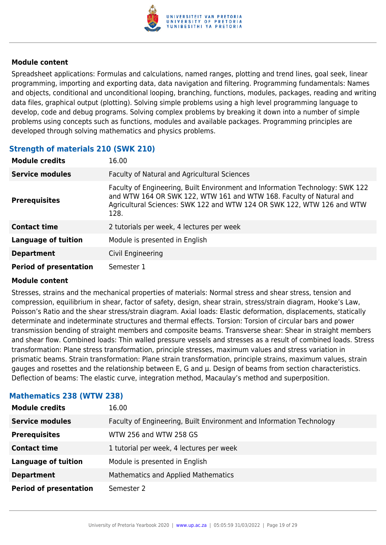

Spreadsheet applications: Formulas and calculations, named ranges, plotting and trend lines, goal seek, linear programming, importing and exporting data, data navigation and filtering. Programming fundamentals: Names and objects, conditional and unconditional looping, branching, functions, modules, packages, reading and writing data files, graphical output (plotting). Solving simple problems using a high level programming language to develop, code and debug programs. Solving complex problems by breaking it down into a number of simple problems using concepts such as functions, modules and available packages. Programming principles are developed through solving mathematics and physics problems.

## **Strength of materials 210 (SWK 210)**

| <b>Module credits</b>         | 16.00                                                                                                                                                                                                                                  |
|-------------------------------|----------------------------------------------------------------------------------------------------------------------------------------------------------------------------------------------------------------------------------------|
| <b>Service modules</b>        | Faculty of Natural and Agricultural Sciences                                                                                                                                                                                           |
| <b>Prerequisites</b>          | Faculty of Engineering, Built Environment and Information Technology: SWK 122<br>and WTW 164 OR SWK 122, WTW 161 and WTW 168. Faculty of Natural and<br>Agricultural Sciences: SWK 122 and WTW 124 OR SWK 122, WTW 126 and WTW<br>128. |
| <b>Contact time</b>           | 2 tutorials per week, 4 lectures per week                                                                                                                                                                                              |
| <b>Language of tuition</b>    | Module is presented in English                                                                                                                                                                                                         |
| <b>Department</b>             | Civil Engineering                                                                                                                                                                                                                      |
| <b>Period of presentation</b> | Semester 1                                                                                                                                                                                                                             |

## **Module content**

Stresses, strains and the mechanical properties of materials: Normal stress and shear stress, tension and compression, equilibrium in shear, factor of safety, design, shear strain, stress/strain diagram, Hooke's Law, Poisson's Ratio and the shear stress/strain diagram. Axial loads: Elastic deformation, displacements, statically determinate and indeterminate structures and thermal effects. Torsion: Torsion of circular bars and power transmission bending of straight members and composite beams. Transverse shear: Shear in straight members and shear flow. Combined loads: Thin walled pressure vessels and stresses as a result of combined loads. Stress transformation: Plane stress transformation, principle stresses, maximum values and stress variation in prismatic beams. Strain transformation: Plane strain transformation, principle strains, maximum values, strain gauges and rosettes and the relationship between E, G and µ. Design of beams from section characteristics. Deflection of beams: The elastic curve, integration method, Macaulay's method and superposition.

## **Mathematics 238 (WTW 238)**

| <b>Module credits</b>         | 16.00                                                                |
|-------------------------------|----------------------------------------------------------------------|
| <b>Service modules</b>        | Faculty of Engineering, Built Environment and Information Technology |
| <b>Prerequisites</b>          | WTW 256 and WTW 258 GS                                               |
| <b>Contact time</b>           | 1 tutorial per week, 4 lectures per week                             |
| <b>Language of tuition</b>    | Module is presented in English                                       |
| <b>Department</b>             | Mathematics and Applied Mathematics                                  |
| <b>Period of presentation</b> | Semester 2                                                           |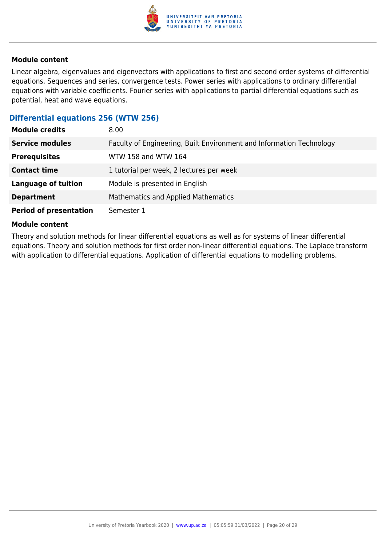

Linear algebra, eigenvalues and eigenvectors with applications to first and second order systems of differential equations. Sequences and series, convergence tests. Power series with applications to ordinary differential equations with variable coefficients. Fourier series with applications to partial differential equations such as potential, heat and wave equations.

## **Differential equations 256 (WTW 256)**

| <b>Module credits</b>         | 8.00                                                                 |
|-------------------------------|----------------------------------------------------------------------|
| <b>Service modules</b>        | Faculty of Engineering, Built Environment and Information Technology |
| <b>Prerequisites</b>          | WTW 158 and WTW 164                                                  |
| <b>Contact time</b>           | 1 tutorial per week, 2 lectures per week                             |
| <b>Language of tuition</b>    | Module is presented in English                                       |
| <b>Department</b>             | Mathematics and Applied Mathematics                                  |
| <b>Period of presentation</b> | Semester 1                                                           |

#### **Module content**

Theory and solution methods for linear differential equations as well as for systems of linear differential equations. Theory and solution methods for first order non-linear differential equations. The Laplace transform with application to differential equations. Application of differential equations to modelling problems.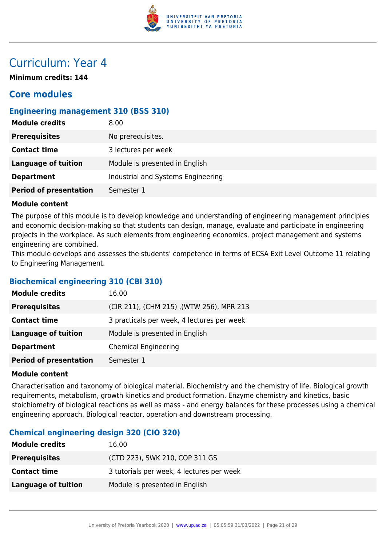

## Curriculum: Year 4

**Minimum credits: 144**

## **Core modules**

## **Engineering management 310 (BSS 310)**

| <b>Module credits</b>         | 8.00                               |
|-------------------------------|------------------------------------|
| <b>Prerequisites</b>          | No prerequisites.                  |
| <b>Contact time</b>           | 3 lectures per week                |
| Language of tuition           | Module is presented in English     |
| <b>Department</b>             | Industrial and Systems Engineering |
| <b>Period of presentation</b> | Semester 1                         |

## **Module content**

The purpose of this module is to develop knowledge and understanding of engineering management principles and economic decision-making so that students can design, manage, evaluate and participate in engineering projects in the workplace. As such elements from engineering economics, project management and systems engineering are combined.

This module develops and assesses the students' competence in terms of ECSA Exit Level Outcome 11 relating to Engineering Management.

## **Biochemical engineering 310 (CBI 310)**

| <b>Module credits</b>         | 16.00                                      |
|-------------------------------|--------------------------------------------|
| <b>Prerequisites</b>          | (CIR 211), (CHM 215), (WTW 256), MPR 213   |
| <b>Contact time</b>           | 3 practicals per week, 4 lectures per week |
| <b>Language of tuition</b>    | Module is presented in English             |
| <b>Department</b>             | <b>Chemical Engineering</b>                |
| <b>Period of presentation</b> | Semester 1                                 |

## **Module content**

Characterisation and taxonomy of biological material. Biochemistry and the chemistry of life. Biological growth requirements, metabolism, growth kinetics and product formation. Enzyme chemistry and kinetics, basic stoichiometry of biological reactions as well as mass - and energy balances for these processes using a chemical engineering approach. Biological reactor, operation and downstream processing.

## **Chemical engineering design 320 (CIO 320)**

| <b>Module credits</b> | 16.00                                     |
|-----------------------|-------------------------------------------|
| <b>Prerequisites</b>  | (CTD 223), SWK 210, COP 311 GS            |
| <b>Contact time</b>   | 3 tutorials per week, 4 lectures per week |
| Language of tuition   | Module is presented in English            |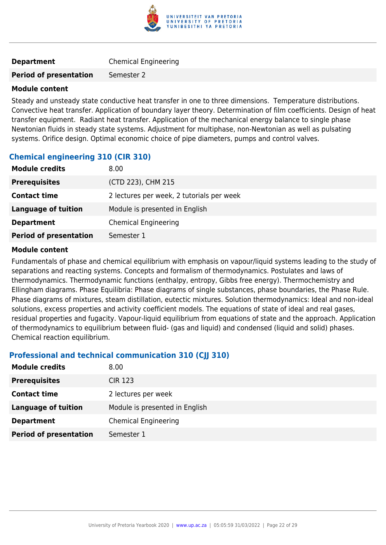

| <b>Department</b> | <b>Chemical Engineering</b> |
|-------------------|-----------------------------|
|-------------------|-----------------------------|

#### **Period of presentation** Semester 2

#### **Module content**

Steady and unsteady state conductive heat transfer in one to three dimensions. Temperature distributions. Convective heat transfer. Application of boundary layer theory. Determination of film coefficients. Design of heat transfer equipment. Radiant heat transfer. Application of the mechanical energy balance to single phase Newtonian fluids in steady state systems. Adjustment for multiphase, non-Newtonian as well as pulsating systems. Orifice design. Optimal economic choice of pipe diameters, pumps and control valves.

## **Chemical engineering 310 (CIR 310)**

| <b>Module credits</b>         | 8.00                                      |
|-------------------------------|-------------------------------------------|
| <b>Prerequisites</b>          | (CTD 223), CHM 215                        |
| <b>Contact time</b>           | 2 lectures per week, 2 tutorials per week |
| Language of tuition           | Module is presented in English            |
| <b>Department</b>             | <b>Chemical Engineering</b>               |
| <b>Period of presentation</b> | Semester 1                                |

#### **Module content**

Fundamentals of phase and chemical equilibrium with emphasis on vapour/liquid systems leading to the study of separations and reacting systems. Concepts and formalism of thermodynamics. Postulates and laws of thermodynamics. Thermodynamic functions (enthalpy, entropy, Gibbs free energy). Thermochemistry and Ellingham diagrams. Phase Equilibria: Phase diagrams of single substances, phase boundaries, the Phase Rule. Phase diagrams of mixtures, steam distillation, eutectic mixtures. Solution thermodynamics: Ideal and non-ideal solutions, excess properties and activity coefficient models. The equations of state of ideal and real gases, residual properties and fugacity. Vapour-liquid equilibrium from equations of state and the approach. Application of thermodynamics to equilibrium between fluid- (gas and liquid) and condensed (liquid and solid) phases. Chemical reaction equilibrium.

## **Professional and technical communication 310 (CJJ 310)**

| <b>Module credits</b>         | 8.00                           |
|-------------------------------|--------------------------------|
| <b>Prerequisites</b>          | <b>CIR 123</b>                 |
| <b>Contact time</b>           | 2 lectures per week            |
| <b>Language of tuition</b>    | Module is presented in English |
| <b>Department</b>             | <b>Chemical Engineering</b>    |
| <b>Period of presentation</b> | Semester 1                     |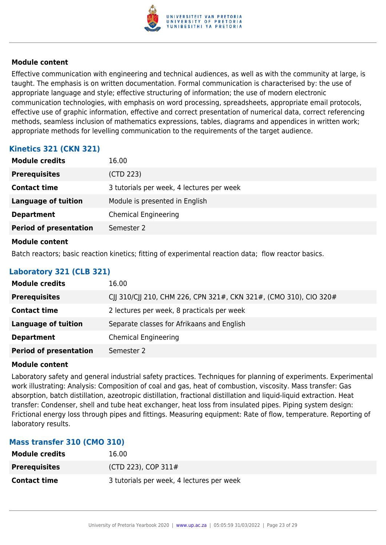

Effective communication with engineering and technical audiences, as well as with the community at large, is taught. The emphasis is on written documentation. Formal communication is characterised by: the use of appropriate language and style; effective structuring of information; the use of modern electronic communication technologies, with emphasis on word processing, spreadsheets, appropriate email protocols, effective use of graphic information, effective and correct presentation of numerical data, correct referencing methods, seamless inclusion of mathematics expressions, tables, diagrams and appendices in written work; appropriate methods for levelling communication to the requirements of the target audience.

## **Kinetics 321 (CKN 321)**

| <b>Module credits</b>         | 16.00                                     |
|-------------------------------|-------------------------------------------|
| <b>Prerequisites</b>          | (CTD 223)                                 |
| <b>Contact time</b>           | 3 tutorials per week, 4 lectures per week |
| <b>Language of tuition</b>    | Module is presented in English            |
| <b>Department</b>             | <b>Chemical Engineering</b>               |
| <b>Period of presentation</b> | Semester 2                                |
| <b>Module content</b>         |                                           |

Batch reactors; basic reaction kinetics; fitting of experimental reaction data; flow reactor basics.

## **Laboratory 321 (CLB 321)**

| <b>Module credits</b>         | 16.00                                                             |
|-------------------------------|-------------------------------------------------------------------|
| <b>Prerequisites</b>          | CJJ 310/CJJ 210, CHM 226, CPN 321#, CKN 321#, (CMO 310), CIO 320# |
| <b>Contact time</b>           | 2 lectures per week, 8 practicals per week                        |
| <b>Language of tuition</b>    | Separate classes for Afrikaans and English                        |
| <b>Department</b>             | <b>Chemical Engineering</b>                                       |
| <b>Period of presentation</b> | Semester 2                                                        |

## **Module content**

Laboratory safety and general industrial safety practices. Techniques for planning of experiments. Experimental work illustrating: Analysis: Composition of coal and gas, heat of combustion, viscosity. Mass transfer: Gas absorption, batch distillation, azeotropic distillation, fractional distillation and liquid-liquid extraction. Heat transfer: Condenser, shell and tube heat exchanger, heat loss from insulated pipes. Piping system design: Frictional energy loss through pipes and fittings. Measuring equipment: Rate of flow, temperature. Reporting of laboratory results.

## **Mass transfer 310 (CMO 310)**

| <b>Module credits</b> | 16.00                                     |
|-----------------------|-------------------------------------------|
| <b>Prerequisites</b>  | (CTD 223), COP 311#                       |
| <b>Contact time</b>   | 3 tutorials per week, 4 lectures per week |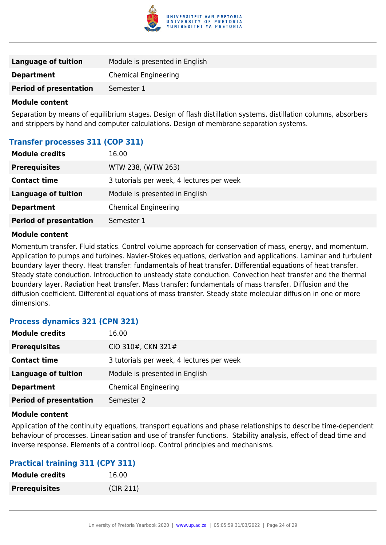

| Language of tuition           | Module is presented in English |
|-------------------------------|--------------------------------|
| <b>Department</b>             | Chemical Engineering           |
| <b>Period of presentation</b> | Semester 1                     |
|                               |                                |

Separation by means of equilibrium stages. Design of flash distillation systems, distillation columns, absorbers and strippers by hand and computer calculations. Design of membrane separation systems.

## **Transfer processes 311 (COP 311)**

| <b>Module credits</b>         | 16.00                                     |
|-------------------------------|-------------------------------------------|
| <b>Prerequisites</b>          | WTW 238, (WTW 263)                        |
| <b>Contact time</b>           | 3 tutorials per week, 4 lectures per week |
| <b>Language of tuition</b>    | Module is presented in English            |
| <b>Department</b>             | <b>Chemical Engineering</b>               |
| <b>Period of presentation</b> | Semester 1                                |
|                               |                                           |

#### **Module content**

Momentum transfer. Fluid statics. Control volume approach for conservation of mass, energy, and momentum. Application to pumps and turbines. Navier-Stokes equations, derivation and applications. Laminar and turbulent boundary layer theory. Heat transfer: fundamentals of heat transfer. Differential equations of heat transfer. Steady state conduction. Introduction to unsteady state conduction. Convection heat transfer and the thermal boundary layer. Radiation heat transfer. Mass transfer: fundamentals of mass transfer. Diffusion and the diffusion coefficient. Differential equations of mass transfer. Steady state molecular diffusion in one or more dimensions.

## **Process dynamics 321 (CPN 321)**

| <b>Module credits</b>         | 16.00                                     |
|-------------------------------|-------------------------------------------|
| <b>Prerequisites</b>          | CIO 310#, CKN 321#                        |
| <b>Contact time</b>           | 3 tutorials per week, 4 lectures per week |
| Language of tuition           | Module is presented in English            |
| <b>Department</b>             | <b>Chemical Engineering</b>               |
| <b>Period of presentation</b> | Semester 2                                |

#### **Module content**

Application of the continuity equations, transport equations and phase relationships to describe time-dependent behaviour of processes. Linearisation and use of transfer functions. Stability analysis, effect of dead time and inverse response. Elements of a control loop. Control principles and mechanisms.

## **Practical training 311 (CPY 311)**

| <b>Module credits</b> | 16.00     |
|-----------------------|-----------|
| <b>Prerequisites</b>  | (CIR 211) |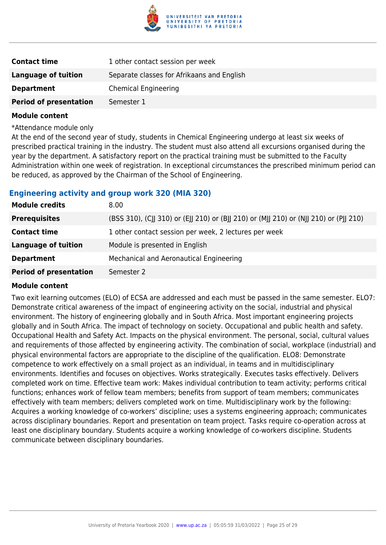

| <b>Contact time</b>           | 1 other contact session per week           |
|-------------------------------|--------------------------------------------|
| Language of tuition           | Separate classes for Afrikaans and English |
| <b>Department</b>             | <b>Chemical Engineering</b>                |
| <b>Period of presentation</b> | Semester 1                                 |

\*Attendance module only

At the end of the second year of study, students in Chemical Engineering undergo at least six weeks of prescribed practical training in the industry. The student must also attend all excursions organised during the year by the department. A satisfactory report on the practical training must be submitted to the Faculty Administration within one week of registration. In exceptional circumstances the prescribed minimum period can be reduced, as approved by the Chairman of the School of Engineering.

## **Engineering activity and group work 320 (MIA 320)**

| <b>Module credits</b>         | 8.00                                                                                  |
|-------------------------------|---------------------------------------------------------------------------------------|
| <b>Prerequisites</b>          | (BSS 310), (CJJ 310) or (EJJ 210) or (BJJ 210) or (MJJ 210) or (NJJ 210) or (PJJ 210) |
| <b>Contact time</b>           | 1 other contact session per week, 2 lectures per week                                 |
| Language of tuition           | Module is presented in English                                                        |
| <b>Department</b>             | Mechanical and Aeronautical Engineering                                               |
| <b>Period of presentation</b> | Semester 2                                                                            |

#### **Module content**

Two exit learning outcomes (ELO) of ECSA are addressed and each must be passed in the same semester. ELO7: Demonstrate critical awareness of the impact of engineering activity on the social, industrial and physical environment. The history of engineering globally and in South Africa. Most important engineering projects globally and in South Africa. The impact of technology on society. Occupational and public health and safety. Occupational Health and Safety Act. Impacts on the physical environment. The personal, social, cultural values and requirements of those affected by engineering activity. The combination of social, workplace (industrial) and physical environmental factors are appropriate to the discipline of the qualification. ELO8: Demonstrate competence to work effectively on a small project as an individual, in teams and in multidisciplinary environments. Identifies and focuses on objectives. Works strategically. Executes tasks effectively. Delivers completed work on time. Effective team work: Makes individual contribution to team activity; performs critical functions; enhances work of fellow team members; benefits from support of team members; communicates effectively with team members; delivers completed work on time. Multidisciplinary work by the following: Acquires a working knowledge of co-workers' discipline; uses a systems engineering approach; communicates across disciplinary boundaries. Report and presentation on team project. Tasks require co-operation across at least one disciplinary boundary. Students acquire a working knowledge of co-workers discipline. Students communicate between disciplinary boundaries.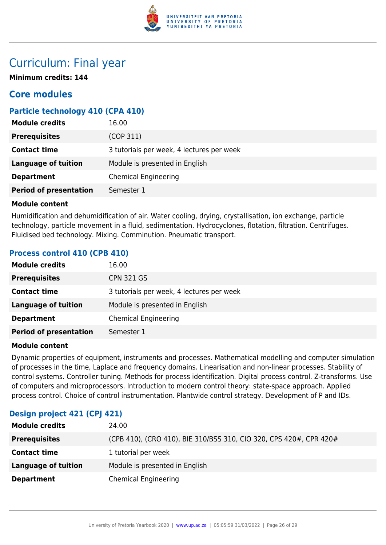

## Curriculum: Final year

**Minimum credits: 144**

## **Core modules**

## **Particle technology 410 (CPA 410)**

| <b>Module credits</b>         | 16.00                                     |
|-------------------------------|-------------------------------------------|
| <b>Prerequisites</b>          | (COP 311)                                 |
| <b>Contact time</b>           | 3 tutorials per week, 4 lectures per week |
| <b>Language of tuition</b>    | Module is presented in English            |
| <b>Department</b>             | <b>Chemical Engineering</b>               |
| <b>Period of presentation</b> | Semester 1                                |

## **Module content**

Humidification and dehumidification of air. Water cooling, drying, crystallisation, ion exchange, particle technology, particle movement in a fluid, sedimentation. Hydrocyclones, flotation, filtration. Centrifuges. Fluidised bed technology. Mixing. Comminution. Pneumatic transport.

## **Process control 410 (CPB 410)**

| <b>Module credits</b>         | 16.00                                     |
|-------------------------------|-------------------------------------------|
| <b>Prerequisites</b>          | <b>CPN 321 GS</b>                         |
| <b>Contact time</b>           | 3 tutorials per week, 4 lectures per week |
| <b>Language of tuition</b>    | Module is presented in English            |
| <b>Department</b>             | <b>Chemical Engineering</b>               |
| <b>Period of presentation</b> | Semester 1                                |

## **Module content**

Dynamic properties of equipment, instruments and processes. Mathematical modelling and computer simulation of processes in the time, Laplace and frequency domains. Linearisation and non-linear processes. Stability of control systems. Controller tuning. Methods for process identification. Digital process control. Z-transforms. Use of computers and microprocessors. Introduction to modern control theory: state-space approach. Applied process control. Choice of control instrumentation. Plantwide control strategy. Development of P and IDs.

## **Design project 421 (CPJ 421)**

| <b>Module credits</b>      | 24.00                                                              |
|----------------------------|--------------------------------------------------------------------|
| <b>Prerequisites</b>       | (CPB 410), (CRO 410), BIE 310/BSS 310, CIO 320, CPS 420#, CPR 420# |
| <b>Contact time</b>        | 1 tutorial per week                                                |
| <b>Language of tuition</b> | Module is presented in English                                     |
| <b>Department</b>          | <b>Chemical Engineering</b>                                        |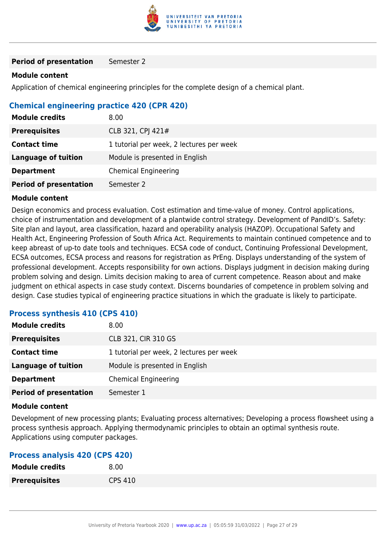

**Period of presentation** Semester 2

#### **Module content**

Application of chemical engineering principles for the complete design of a chemical plant.

## **Chemical engineering practice 420 (CPR 420)**

| <b>Module credits</b>         | 8.00                                     |
|-------------------------------|------------------------------------------|
| <b>Prerequisites</b>          | CLB 321, CPJ 421#                        |
| <b>Contact time</b>           | 1 tutorial per week, 2 lectures per week |
| <b>Language of tuition</b>    | Module is presented in English           |
| <b>Department</b>             | <b>Chemical Engineering</b>              |
| <b>Period of presentation</b> | Semester 2                               |

#### **Module content**

Design economics and process evaluation. Cost estimation and time-value of money. Control applications, choice of instrumentation and development of a plantwide control strategy. Development of PandID's. Safety: Site plan and layout, area classification, hazard and operability analysis (HAZOP). Occupational Safety and Health Act, Engineering Profession of South Africa Act. Requirements to maintain continued competence and to keep abreast of up-to date tools and techniques. ECSA code of conduct, Continuing Professional Development, ECSA outcomes, ECSA process and reasons for registration as PrEng. Displays understanding of the system of professional development. Accepts responsibility for own actions. Displays judgment in decision making during problem solving and design. Limits decision making to area of current competence. Reason about and make judgment on ethical aspects in case study context. Discerns boundaries of competence in problem solving and design. Case studies typical of engineering practice situations in which the graduate is likely to participate.

## **Process synthesis 410 (CPS 410)**

| <b>Module credits</b>         | 8.00                                     |
|-------------------------------|------------------------------------------|
| <b>Prerequisites</b>          | CLB 321, CIR 310 GS                      |
| <b>Contact time</b>           | 1 tutorial per week, 2 lectures per week |
| <b>Language of tuition</b>    | Module is presented in English           |
| <b>Department</b>             | <b>Chemical Engineering</b>              |
| <b>Period of presentation</b> | Semester 1                               |

#### **Module content**

Development of new processing plants; Evaluating process alternatives; Developing a process flowsheet using a process synthesis approach. Applying thermodynamic principles to obtain an optimal synthesis route. Applications using computer packages.

## **Process analysis 420 (CPS 420)**

| <b>Module credits</b> | 8.00           |
|-----------------------|----------------|
| <b>Prerequisites</b>  | <b>CPS 410</b> |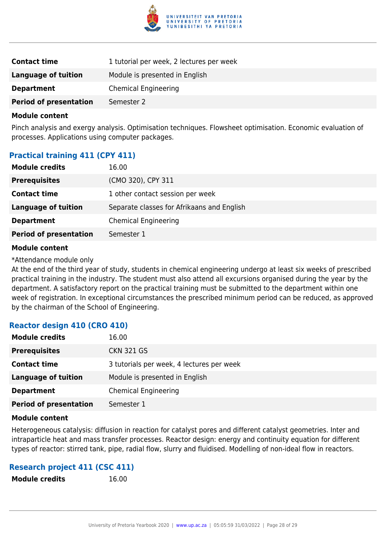

| <b>Contact time</b>           | 1 tutorial per week, 2 lectures per week |
|-------------------------------|------------------------------------------|
| Language of tuition           | Module is presented in English           |
| <b>Department</b>             | <b>Chemical Engineering</b>              |
| <b>Period of presentation</b> | Semester 2                               |

Pinch analysis and exergy analysis. Optimisation techniques. Flowsheet optimisation. Economic evaluation of processes. Applications using computer packages.

## **Practical training 411 (CPY 411)**

| <b>Module credits</b>         | 16.00                                      |
|-------------------------------|--------------------------------------------|
| <b>Prerequisites</b>          | (CMO 320), CPY 311                         |
| <b>Contact time</b>           | 1 other contact session per week           |
| Language of tuition           | Separate classes for Afrikaans and English |
| <b>Department</b>             | <b>Chemical Engineering</b>                |
| <b>Period of presentation</b> | Semester 1                                 |

#### **Module content**

\*Attendance module only

At the end of the third year of study, students in chemical engineering undergo at least six weeks of prescribed practical training in the industry. The student must also attend all excursions organised during the year by the department. A satisfactory report on the practical training must be submitted to the department within one week of registration. In exceptional circumstances the prescribed minimum period can be reduced, as approved by the chairman of the School of Engineering.

## **Reactor design 410 (CRO 410)**

| <b>Module credits</b>         | 16.00                                     |
|-------------------------------|-------------------------------------------|
| <b>Prerequisites</b>          | <b>CKN 321 GS</b>                         |
| <b>Contact time</b>           | 3 tutorials per week, 4 lectures per week |
| <b>Language of tuition</b>    | Module is presented in English            |
| <b>Department</b>             | <b>Chemical Engineering</b>               |
| <b>Period of presentation</b> | Semester 1                                |

#### **Module content**

Heterogeneous catalysis: diffusion in reaction for catalyst pores and different catalyst geometries. Inter and intraparticle heat and mass transfer processes. Reactor design: energy and continuity equation for different types of reactor: stirred tank, pipe, radial flow, slurry and fluidised. Modelling of non-ideal flow in reactors.

## **Research project 411 (CSC 411)**

**Module credits** 16.00